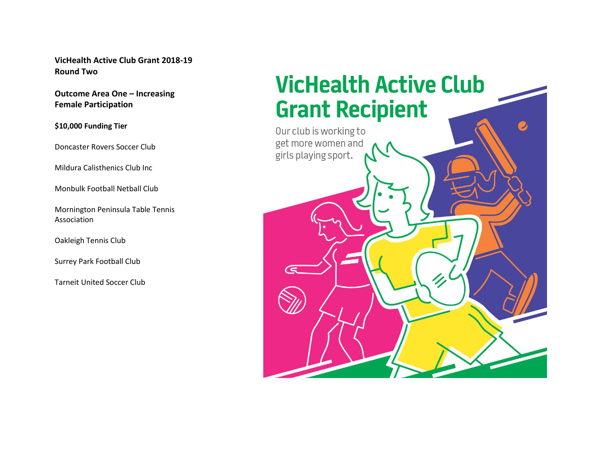**VicHealth Active Club Grant 2018-19 Round Two**

**Outcome Area One – Increasing Female Participation**

**\$10,000 Funding Tier** 

Doncaster Rovers Soccer Club

Mildura Calisthenics Club Inc

Monbulk Football Netball Club

Mornington Peninsula Table Tennis Association

Oakleigh Tennis Club

Surrey Park Football Club

Tarneit United Soccer Club

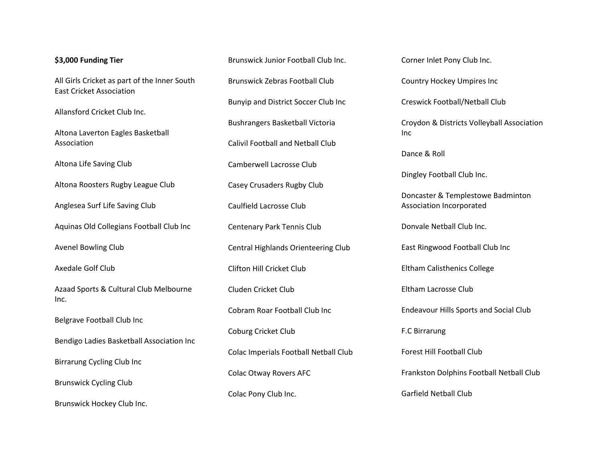## **\$3,000 Funding Tier**

All Girls Cricket as part of the Inner South East Cricket Association

Allansford Cricket Club Inc.

Altona Laverton Eagles Basketball Association

Altona Life Saving Club

Altona Roosters Rugby League Club

Anglesea Surf Life Saving Club

Aquinas Old Collegians Football Club Inc

Avenel Bowling Club

Axedale Golf Club

Azaad Sports & Cultural Club Melbourne Inc.

Belgrave Football Club Inc

Bendigo Ladies Basketball Association Inc

Birrarung Cycling Club Inc

Brunswick Cycling Club

Brunswick Hockey Club Inc.

Brunswick Junior Football Club Inc. Brunswick Zebras Football Club Bunyip and District Soccer Club Inc Bushrangers Basketball Victoria Calivil Football and Netball Club Camberwell Lacrosse Club Casey Crusaders Rugby Club Caulfield Lacrosse Club Centenary Park Tennis Club Central Highlands Orienteering Club Clifton Hill Cricket Club Cluden Cricket Club Cobram Roar Football Club Inc Coburg Cricket Club Colac Imperials Football Netball Club Colac Otway Rovers AFC

Colac Pony Club Inc.

Corner Inlet Pony Club Inc.

Country Hockey Umpires Inc

Creswick Football/Netball Club

Croydon & Districts Volleyball Association Inc

Dance & Roll

Dingley Football Club Inc.

Doncaster & Templestowe Badminton Association Incorporated

Donvale Netball Club Inc.

East Ringwood Football Club Inc

Eltham Calisthenics College

Eltham Lacrosse Club

Endeavour Hills Sports and Social Club

F.C Birrarung

Forest Hill Football Club

Frankston Dolphins Football Netball Club

Garfield Netball Club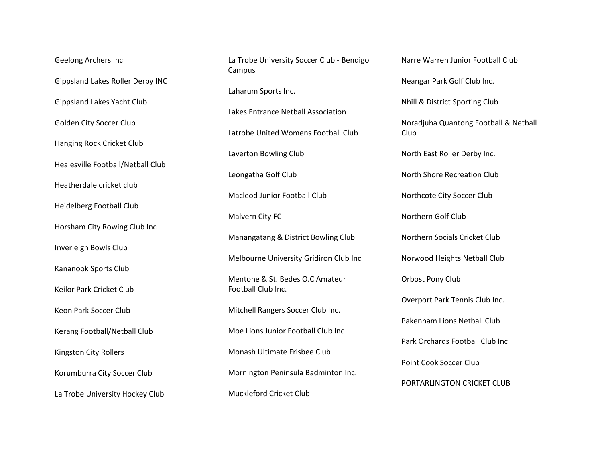Geelong Archers Inc Gippsland Lakes Roller Derby INC Gippsland Lakes Yacht Club Golden City Soccer Club Hanging Rock Cricket Club Healesville Football/Netball Club Heatherdale cricket club Heidelberg Football Club Horsham City Rowing Club Inc Inverleigh Bowls Club Kananook Sports Club Keilor Park Cricket Club Keon Park Soccer Club Kerang Football/Netball Club Kingston City Rollers Korumburra City Soccer Club La Trobe University Hockey Club

La Trobe University Soccer Club - Bendigo Campus

Laharum Sports Inc.

Lakes Entrance Netball Association

Latrobe United Womens Football Club

Laverton Bowling Club

Leongatha Golf Club

Macleod Junior Football Club

Malvern City FC

Manangatang & District Bowling Club

Melbourne University Gridiron Club Inc

Mentone & St. Bedes O.C Amateur Football Club Inc.

Mitchell Rangers Soccer Club Inc.

Moe Lions Junior Football Club Inc

Monash Ultimate Frisbee Club

Mornington Peninsula Badminton Inc.

Muckleford Cricket Club

Narre Warren Junior Football Club Neangar Park Golf Club Inc.

Nhill & District Sporting Club

Noradjuha Quantong Football & Netball Club

North East Roller Derby Inc.

North Shore Recreation Club

Northcote City Soccer Club

Northern Golf Club

Northern Socials Cricket Club

Norwood Heights Netball Club

Orbost Pony Club

Overport Park Tennis Club Inc.

Pakenham Lions Netball Club

Park Orchards Football Club Inc

Point Cook Soccer Club

PORTARLINGTON CRICKET CLUB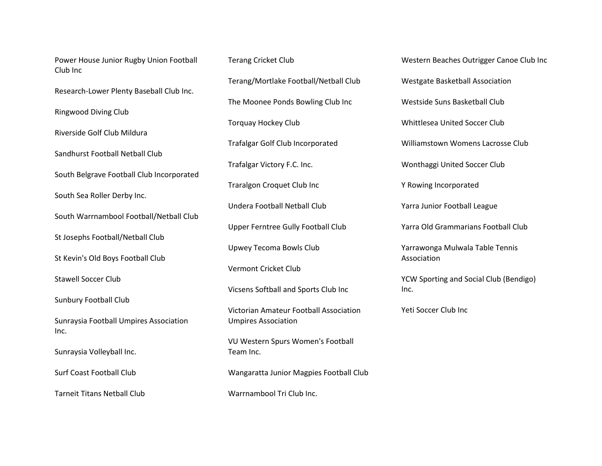Power House Junior Rugby Union Football Club Inc

Research-Lower Plenty Baseball Club Inc.

Ringwood Diving Club

Riverside Golf Club Mildura

Sandhurst Football Netball Club

South Belgrave Football Club Incorporated

South Sea Roller Derby Inc.

South Warrnambool Football/Netball Club

St Josephs Football/Netball Club

St Kevin's Old Boys Football Club

Stawell Soccer Club

Sunbury Football Club

Sunraysia Football Umpires Association Inc.

Sunraysia Volleyball Inc.

Surf Coast Football Club

Tarneit Titans Netball Club

Terang Cricket Club Terang/Mortlake Football/Netball Club The Moonee Ponds Bowling Club Inc Torquay Hockey Club Trafalgar Golf Club Incorporated Trafalgar Victory F.C. Inc. Traralgon Croquet Club Inc Undera Football Netball Club Upper Ferntree Gully Football Club Upwey Tecoma Bowls Club

Vermont Cricket Club

Vicsens Softball and Sports Club Inc

Victorian Amateur Football Association Umpires Association

VU Western Spurs Women's Football Team Inc.

Wangaratta Junior Magpies Football Club

Warrnambool Tri Club Inc.

Western Beaches Outrigger Canoe Club Inc Westgate Basketball Association Westside Suns Basketball Club Whittlesea United Soccer Club Williamstown Womens Lacrosse Club Wonthaggi United Soccer Club Y Rowing Incorporated Yarra Junior Football League Yarra Old Grammarians Football Club Yarrawonga Mulwala Table Tennis Association YCW Sporting and Social Club (Bendigo) Inc.

Yeti Soccer Club Inc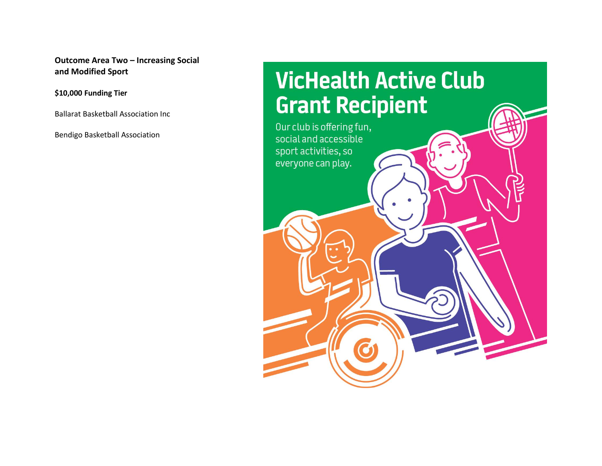**Outcome Area Two – Increasing Social and Modified Sport**

**\$10,000 Funding Tier** 

Ballarat Basketball Association Inc

Bendigo Basketball Association

## **VicHealth Active Club Grant Recipient**

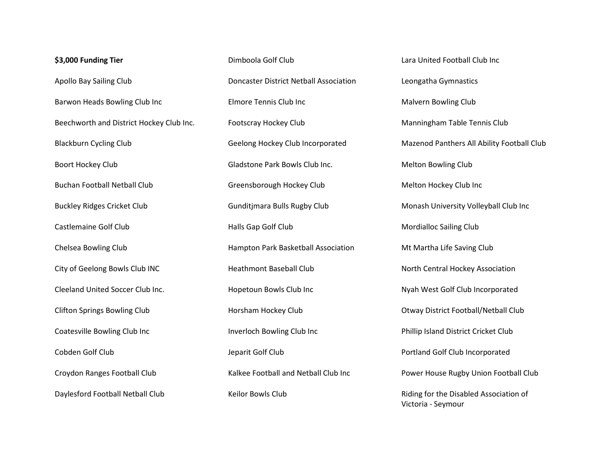## **\$3,000 Funding Tier**  Apollo Bay Sailing Club Barwon Heads Bowling Club Inc Beechworth and District Hockey Club Inc. Blackburn Cycling Club Boort Hockey Club Buchan Football Netball Club Buckley Ridges Cricket Club Castlemaine Golf Club Chelsea Bowling Club City of Geelong Bowls Club INC Cleeland United Soccer Club Inc. Clifton Springs Bowling Club Coatesville Bowling Club Inc Cobden Golf Club Croydon Ranges Football Club Daylesford Football Netball Club

Dimboola Golf Club Doncaster District Netball Association Elmore Tennis Club Inc Footscray Hockey Club Geelong Hockey Club Incorporated Gladstone Park Bowls Club Inc. Greensborough Hockey Club Gunditjmara Bulls Rugby Club Halls Gap Golf Club Hampton Park Basketball Association Heathmont Baseball Club Hopetoun Bowls Club Inc Horsham Hockey Club Inverloch Bowling Club Inc Jeparit Golf Club Kalkee Football and Netball Club Inc Keilor Bowls Club

Lara United Football Club Inc Leongatha Gymnastics Malvern Bowling Club Manningham Table Tennis Club Mazenod Panthers All Ability Football Club Melton Bowling Club Melton Hockey Club Inc Monash University Volleyball Club Inc Mordialloc Sailing Club Mt Martha Life Saving Club North Central Hockey Association Nyah West Golf Club Incorporated Otway District Football/Netball Club Phillip Island District Cricket Club Portland Golf Club Incorporated Power House Rugby Union Football Club Riding for the Disabled Association of Victoria - Seymour